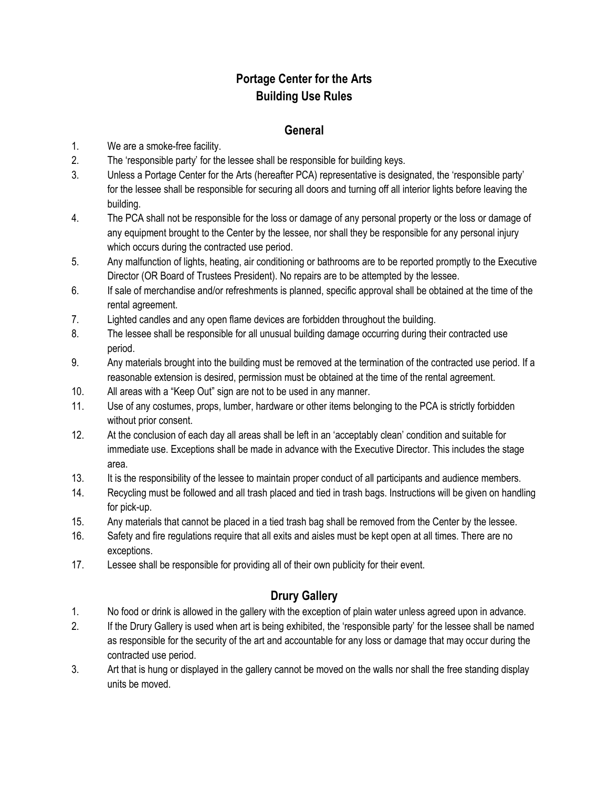# **Portage Center for the Arts Building Use Rules**

### **General**

- 1. We are a smoke-free facility.
- 2. The 'responsible party' for the lessee shall be responsible for building keys.
- 3. Unless a Portage Center for the Arts (hereafter PCA) representative is designated, the 'responsible party' for the lessee shall be responsible for securing all doors and turning off all interior lights before leaving the building.
- 4. The PCA shall not be responsible for the loss or damage of any personal property or the loss or damage of any equipment brought to the Center by the lessee, nor shall they be responsible for any personal injury which occurs during the contracted use period.
- 5. Any malfunction of lights, heating, air conditioning or bathrooms are to be reported promptly to the Executive Director (OR Board of Trustees President). No repairs are to be attempted by the lessee.
- 6. If sale of merchandise and/or refreshments is planned, specific approval shall be obtained at the time of the rental agreement.
- 7. Lighted candles and any open flame devices are forbidden throughout the building.
- 8. The lessee shall be responsible for all unusual building damage occurring during their contracted use period.
- 9. Any materials brought into the building must be removed at the termination of the contracted use period. If a reasonable extension is desired, permission must be obtained at the time of the rental agreement.
- 10. All areas with a "Keep Out" sign are not to be used in any manner.
- 11. Use of any costumes, props, lumber, hardware or other items belonging to the PCA is strictly forbidden without prior consent.
- 12. At the conclusion of each day all areas shall be left in an 'acceptably clean' condition and suitable for immediate use. Exceptions shall be made in advance with the Executive Director. This includes the stage area.
- 13. It is the responsibility of the lessee to maintain proper conduct of all participants and audience members.
- 14. Recycling must be followed and all trash placed and tied in trash bags. Instructions will be given on handling for pick-up.
- 15. Any materials that cannot be placed in a tied trash bag shall be removed from the Center by the lessee.
- 16. Safety and fire regulations require that all exits and aisles must be kept open at all times. There are no exceptions.
- 17. Lessee shall be responsible for providing all of their own publicity for their event.

# **Drury Gallery**

- 1. No food or drink is allowed in the gallery with the exception of plain water unless agreed upon in advance.
- 2. If the Drury Gallery is used when art is being exhibited, the 'responsible party' for the lessee shall be named as responsible for the security of the art and accountable for any loss or damage that may occur during the contracted use period.
- 3. Art that is hung or displayed in the gallery cannot be moved on the walls nor shall the free standing display units be moved.